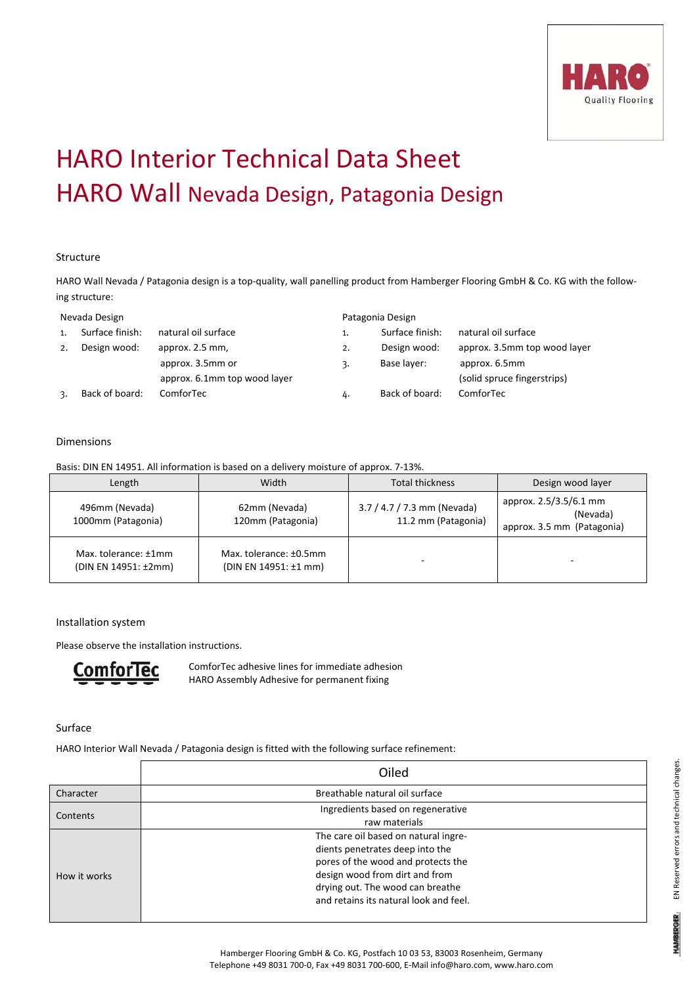

# HARO Interior Technical Data Sheet HARO Wall Nevada Design, Patagonia Design

### Structure

HARO Wall Nevada / Patagonia design is a top-quality, wall panelling product from Hamberger Flooring GmbH & Co. KG with the following structure:

#### Nevada Design

| 1. | Surface finish: | natural oil surface          |
|----|-----------------|------------------------------|
| 2. | Design wood:    | approx. 2.5 mm,              |
|    |                 | approx. 3.5mm or             |
|    |                 | approx. 6.1mm top wood layer |
|    | Back of board:  | ComforTec                    |

|    | Patagonia Design |                              |
|----|------------------|------------------------------|
| 1. | Surface finish:  | natural oil surface          |
| 2. | Design wood:     | approx. 3.5mm top wood layer |
| 3. | Base layer:      | approx. 6.5mm                |
|    |                  | (solid spruce fingerstrips)  |
| 4. | Back of board:   | ComforTec                    |

#### Dimensions

Basis: DIN EN 14951. All information is based on a delivery moisture of approx. 7‐13%.

| Length                                       | Width                                           | <b>Total thickness</b>                             | Design wood layer                                                |
|----------------------------------------------|-------------------------------------------------|----------------------------------------------------|------------------------------------------------------------------|
| 496mm (Nevada)<br>1000mm (Patagonia)         | 62mm (Nevada)<br>120mm (Patagonia)              | 3.7 / 4.7 / 7.3 mm (Nevada)<br>11.2 mm (Patagonia) | approx. 2.5/3.5/6.1 mm<br>(Nevada)<br>approx. 3.5 mm (Patagonia) |
| Max. tolerance: ±1mm<br>(DIN EN 14951: ±2mm) | Max. tolerance: ±0.5mm<br>(DIN EN 14951: ±1 mm) | -                                                  |                                                                  |

#### Installation system

Please observe the installation instructions.



ComforTec adhesive lines for immediate adhesion HARO Assembly Adhesive for permanent fixing

Surface

HARO Interior Wall Nevada / Patagonia design is fitted with the following surface refinement:

|              | Oiled                                                                                                                                                                                                                         |
|--------------|-------------------------------------------------------------------------------------------------------------------------------------------------------------------------------------------------------------------------------|
| Character    | Breathable natural oil surface                                                                                                                                                                                                |
| Contents     | Ingredients based on regenerative<br>raw materials                                                                                                                                                                            |
| How it works | The care oil based on natural ingre-<br>dients penetrates deep into the<br>pores of the wood and protects the<br>design wood from dirt and from<br>drying out. The wood can breathe<br>and retains its natural look and feel. |